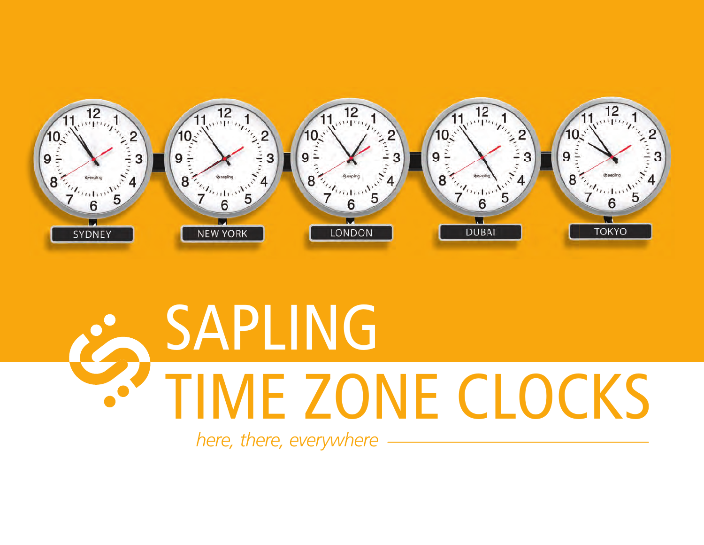

## SAPLING TIME ZONE CLOCKS

*here, there, everywhere*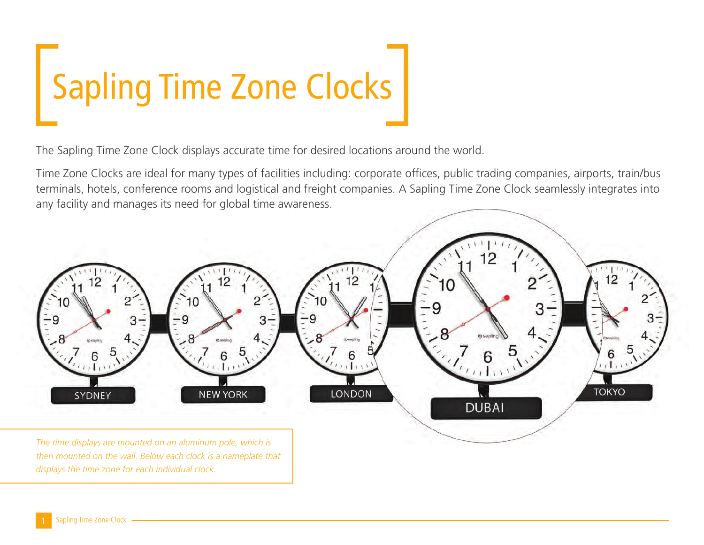# Sapling Time Zone Clocks

The Sapling Time Zone Clock displays accurate time for desired locations around the world.

Time Zone Clocks are ideal for many types of facilities including: corporate offices, public trading companies, airports, train/bus terminals, hotels, conference rooms and logistical and freight companies. A Sapling Time Zone Clock seamlessly integrates into any facility and manages its need for global time awareness.



*The time displays are mounted on an aluminum pole, which is then mounted on the wall. Below each clock is a nameplate that displays the time zone for each individual clock.*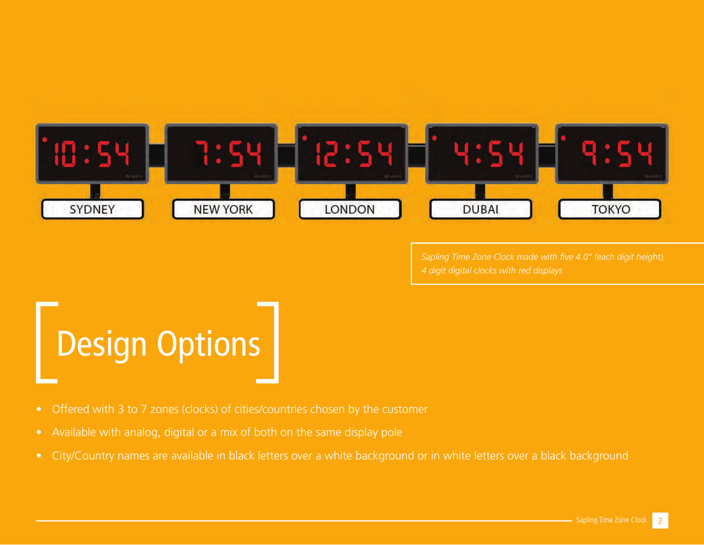

Sapling Time Zone Clock made with five 4.0" (each digit height),

## Design Options

- Offered with 3 to 7 zones (clocks) of cities/countries chosen by the customer
- Available with analog, digital or a mix of both on the same display pole
- City/Country names are available in black letters over a white background or in white letters over a black background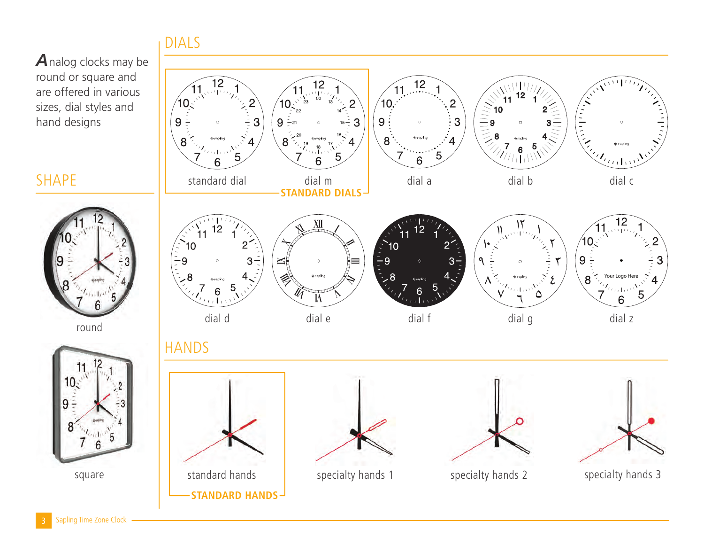### DIALS

Analog clocks may be round or square and are offered in various sizes, dial styles and hand designs

### SHAPE



round

 $10<sub>5</sub>$ 

9



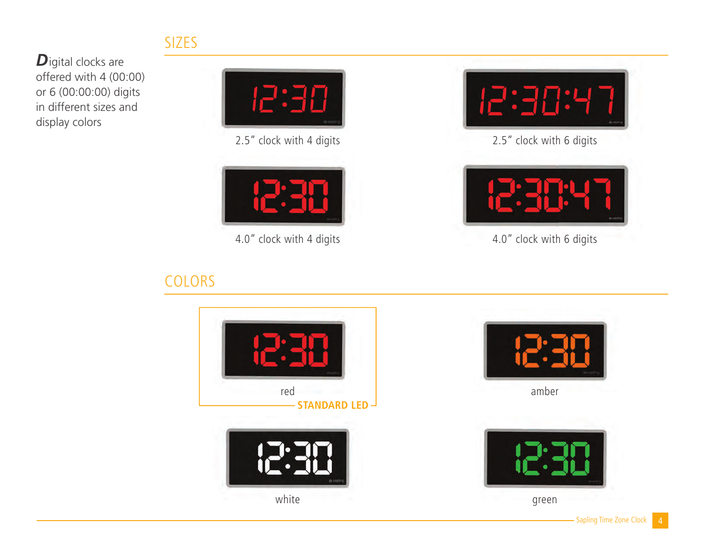### SIZES

**D**igital clocks are offered with 4 (00:00) or 6 (00:00:00) digits in different sizes and display colors



2.5" clock with 4 digits



4.0" clock with 4 digits

## COLORS



2.5" clock with 6 digits



4.0" clock with 6 digits





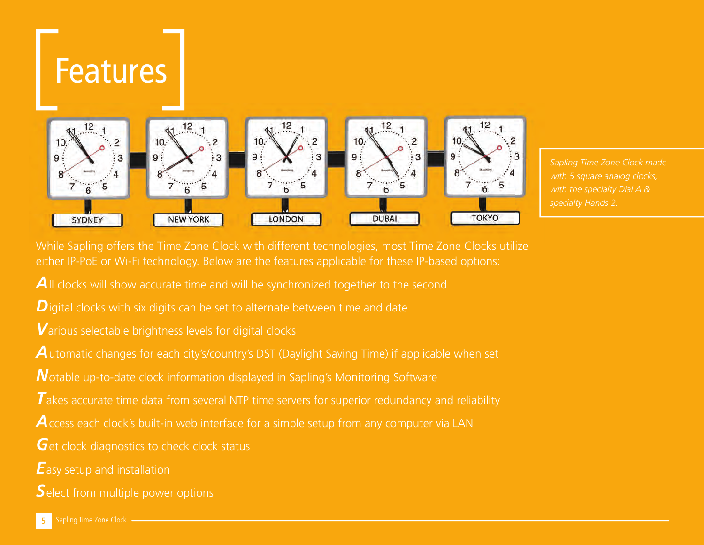#### Features  $12$  $12$  $12$ 12  $12$  $10.$ 10.  $10.$  $10.$  $\mathsf{q}:$ 9 : 3 q  $\mathbf{B}$ ٥ 8 8 8 5 6 6 TOKYO **NEW YORK** LONDON **DUBAI SYDNEY**

*Sapling Time Zone Clock made with 5 square analog clocks, with the specialty Dial A & specialty Hands 2.*

While Sapling offers the Time Zone Clock with different technologies, most Time Zone Clocks utilize either IP-PoE or Wi-Fi technology. Below are the features applicable for these IP-based options:

**A**ll clocks will show accurate time and will be synchronized together to the second

*D*igital clocks with six digits can be set to alternate between time and date

*V*arious selectable brightness levels for digital clocks

A utomatic changes for each city's/country's DST (Daylight Saving Time) if applicable when set

*N* otable up-to-date clock information displayed in Sapling's Monitoring Software

**T** akes accurate time data from several NTP time servers for superior redundancy and reliability

A ccess each clock's built-in web interface for a simple setup from any computer via LAN

**G**et clock diagnostics to check clock status

*E* asy setup and installation

*S*elect from multiple power options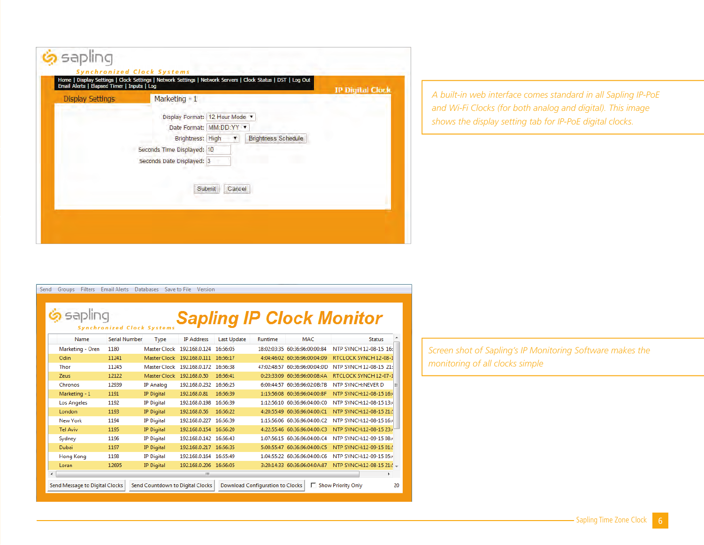| <b>Display Settings</b> | Marketing - 1                                       | <b>IP Digital Clock</b> |
|-------------------------|-----------------------------------------------------|-------------------------|
|                         | Display Format: 12 Hour Mode v                      |                         |
|                         | Date Format: MM:DD:YY .                             |                         |
|                         | Brightness: High<br><b>Brightness Schedule</b><br>T |                         |
|                         |                                                     |                         |
|                         | Seconds Date Displayed: 3                           |                         |
|                         |                                                     |                         |
|                         | Submit<br>Cancel                                    |                         |

#### *A built-in web interface comes standard in all Sapling IP-PoE and Wi-Fi Clocks (for both analog and digital). This image shows the display setting tab for IP-PoE digital clocks.*

Send Groups Filters Email Alerts Databases Save to File Version

## Sapling Sapling IP Clock Monitor

| Name                           | Serial Number | Type              | <b>IP Address</b>                | Last Update | Runtime                          | MAC                           | <b>Status</b>             |    |
|--------------------------------|---------------|-------------------|----------------------------------|-------------|----------------------------------|-------------------------------|---------------------------|----|
| Marketing - Oren               | 1180          |                   | Master Clock 192.168.0.124       | 16:56:05    |                                  | 18:02:03:35 60:36:96:00:00:B4 | NTP SYNCH 12-08-15 16:    |    |
| Odin                           | 11241         | Master Clock      | 192.168.0.111                    | 16:56:17    |                                  | 4:04:46:02 60:36:96:00:04:D9  | RTCLOCK SYNCH 12-08-1     |    |
| Thor                           | 11245         | Master Clock      | 192.168.0.172 16:56:38           |             |                                  | 47:02:48:57 60:36:96:00:04:DD | NTP SYNCH 12-08-15 21:    |    |
| Zeus                           | 12122         | Master Clock      | 192.168.0.50                     | 16:56:41    |                                  | 0:23:33:09 60:36:96:00:08:4A  | RTCLOCK SYNCH 12-07-1     |    |
| Chronos                        | 12939         | IP Analog         | 192.168.0.232                    | 16:56:25    |                                  | 6:00:44:57 60:36:96:02:0B:7B  | NTP SYNCH:NEVER D         |    |
| Marketing - 1                  | 1191          | <b>IP Digital</b> | 192.168.0.81                     | 16:56:39    |                                  | 1:15:56:08 60:36:96:04:00:BF  | NTP SYNCH:12-08-15 16:4   |    |
| Los Angeles                    | 1192          | <b>IP Digital</b> | 192.168.0.198                    | 16:56:39    |                                  | 1:12:56:10 60:36:96:04:00:C0  | NTP SYNCH:12-08-15 13:4   |    |
| London                         | 1193          | <b>IP Digital</b> | 192.168.0.56                     | 16:56:22    |                                  | 4:20:55:49 60:36:96:04:00:C1  | NTP SYNCH:12-08-15 21:    |    |
| New York                       | 1194          | <b>IP</b> Digital | 192.168.0.227                    | 16:56:39    |                                  | 1:15:56:06 60:36:96:04:00:C2  | NTP SYNCH:12-08-15 16:4   |    |
| <b>Tel Aviv</b>                | 1195          | <b>IP Digital</b> | 192.168.0.154 16:56:20           |             |                                  | 4:22:55:46 60:36:96:04:00:C3  | NTP SYNCH:12-08-15 23:4   |    |
| Sydney                         | 1196          | <b>IP Digital</b> | 192.168.0.142 16:56:43           |             |                                  | 1:07:56:15 60:36:96:04:00:C4  | NTP SYNCH:12-09-15 08:4   |    |
| Dubai                          | 1197          | <b>IP</b> Digital | 192.168.0.217 16:56:35           |             |                                  | 5:00:55:47 60:36:96:04:00:C5  | NTP SYNCH:12-09-15 01:    |    |
| Hong Kong                      | 1198          | <b>IP Digital</b> | 192.168.0.164 16:55:49           |             |                                  | 1:04:55:22 60:36:96:04:00:C6  | NTP SYNCH:12-09-15 05:4   |    |
| Loran                          | 12695         | <b>IP</b> Digital | 192.168.0.206 16:56:05           |             |                                  | 3:20:14:33 60:36:96:04:0A:87  | NTP SYNCH:12-08-15 21:' - |    |
|                                |               |                   | m                                |             |                                  |                               |                           | Þ  |
| Send Message to Digital Clocks |               |                   | Send Countdown to Digital Clocks |             | Download Configuration to Clocks |                               | □ Show Priority Only      | 20 |

*Screen shot of Sapling's IP Monitoring Software makes the monitoring of all clocks simple*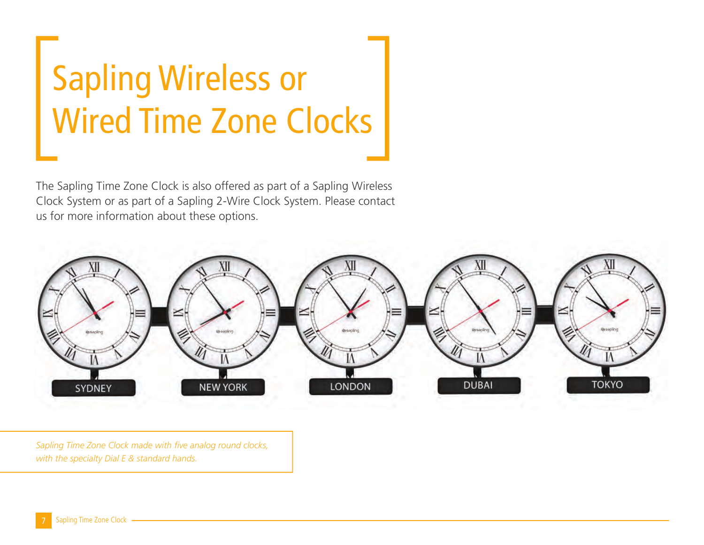## Sapling Wireless or Wired Time Zone Clocks

The Sapling Time Zone Clock is also offered as part of a Sapling Wireless Clock System or as part of a Sapling 2-Wire Clock System. Please contact us for more information about these options.



Sapling Time Zone Clock made with five analog round clocks, *with the specialty Dial E & standard hands.*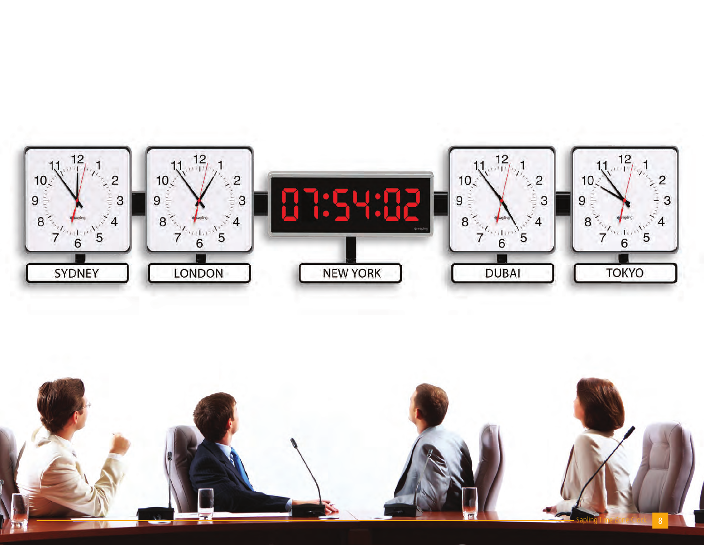

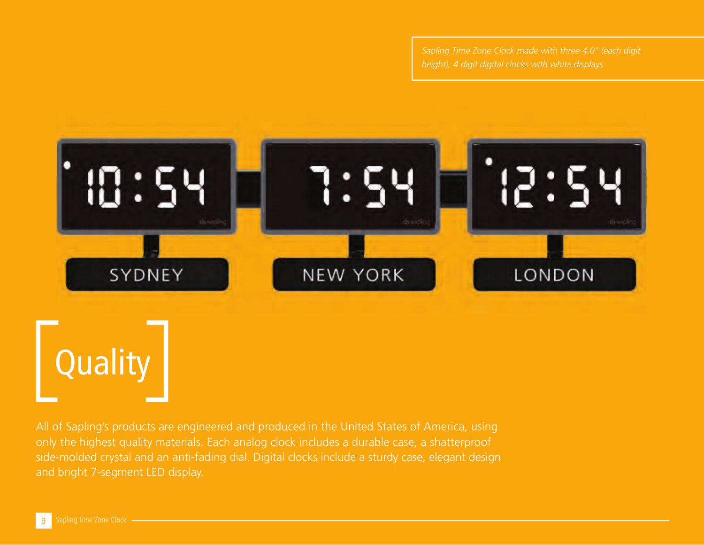

All of Sapling's products are engineered and produced in the United States of America, using only the highest quality materials. Each analog clock includes a durable case, a shatterproof side-molded crystal and an anti-fading dial. Digital clocks include a sturdy case, elegant design and bright 7-segment LED display.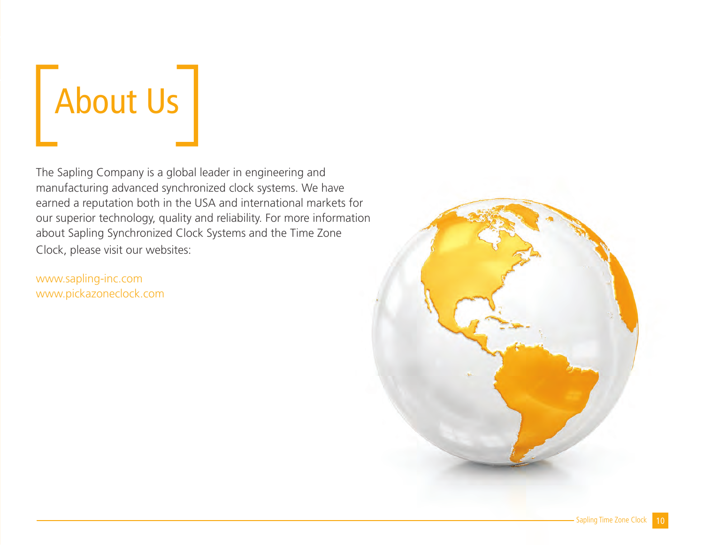

The Sapling Company is a global leader in engineering and manufacturing advanced synchronized clock systems. We have earned a reputation both in the USA and international markets for our superior technology, quality and reliability. For more information about Sapling Synchronized Clock Systems and the Time Zone Clock, please visit our websites:

www.sapling-inc.com www.pickazoneclock.com